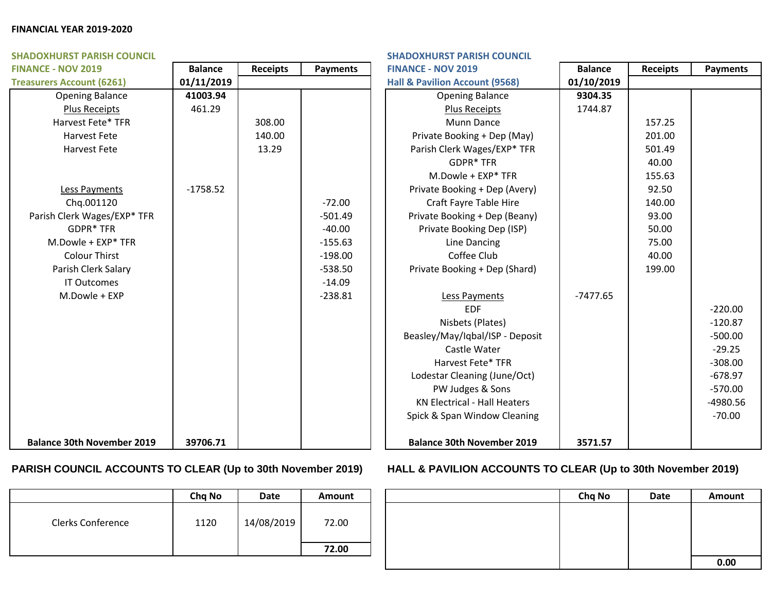### **FINANCIAL YEAR 2019-2020**

| <b>SHADOXHURST PARISH COUNCIL</b> | <b>SHADOXHURST PARISH COUNCIL</b> |                 |                 |                                     |                |                 |                 |
|-----------------------------------|-----------------------------------|-----------------|-----------------|-------------------------------------|----------------|-----------------|-----------------|
| <b>FINANCE - NOV 2019</b>         | <b>Balance</b>                    | <b>Receipts</b> | <b>Payments</b> | <b>FINANCE - NOV 2019</b>           | <b>Balance</b> | <b>Receipts</b> | <b>Payments</b> |
| <b>Treasurers Account (6261)</b>  | 01/11/2019                        |                 |                 | Hall & Pavilion Account (9568)      | 01/10/2019     |                 |                 |
| <b>Opening Balance</b>            | 41003.94                          |                 |                 | <b>Opening Balance</b>              | 9304.35        |                 |                 |
| Plus Receipts                     | 461.29                            |                 |                 | Plus Receipts                       | 1744.87        |                 |                 |
| Harvest Fete* TFR                 |                                   | 308.00          |                 | <b>Munn Dance</b>                   |                | 157.25          |                 |
| Harvest Fete                      |                                   | 140.00          |                 | Private Booking + Dep (May)         |                | 201.00          |                 |
| <b>Harvest Fete</b>               |                                   | 13.29           |                 | Parish Clerk Wages/EXP* TFR         |                | 501.49          |                 |
|                                   |                                   |                 |                 | <b>GDPR* TFR</b>                    |                | 40.00           |                 |
|                                   |                                   |                 |                 | M.Dowle + EXP* TFR                  |                | 155.63          |                 |
| Less Payments                     | $-1758.52$                        |                 |                 | Private Booking + Dep (Avery)       |                | 92.50           |                 |
| Chq.001120                        |                                   |                 | $-72.00$        | Craft Fayre Table Hire              |                | 140.00          |                 |
| Parish Clerk Wages/EXP* TFR       |                                   |                 | $-501.49$       | Private Booking + Dep (Beany)       |                | 93.00           |                 |
| GDPR* TFR                         |                                   |                 | $-40.00$        | Private Booking Dep (ISP)           |                | 50.00           |                 |
| M.Dowle + EXP* TFR                |                                   |                 | $-155.63$       | Line Dancing                        |                | 75.00           |                 |
| <b>Colour Thirst</b>              |                                   |                 | $-198.00$       | Coffee Club                         |                | 40.00           |                 |
| Parish Clerk Salary               |                                   |                 | $-538.50$       | Private Booking + Dep (Shard)       |                | 199.00          |                 |
| <b>IT Outcomes</b>                |                                   |                 | $-14.09$        |                                     |                |                 |                 |
| M.Dowle + EXP                     |                                   |                 | $-238.81$       | Less Payments                       | $-7477.65$     |                 |                 |
|                                   |                                   |                 |                 | <b>EDF</b>                          |                |                 | $-220.00$       |
|                                   |                                   |                 |                 | Nisbets (Plates)                    |                |                 | $-120.87$       |
|                                   |                                   |                 |                 | Beasley/May/Iqbal/ISP - Deposit     |                |                 | $-500.00$       |
|                                   |                                   |                 |                 | Castle Water                        |                |                 | $-29.25$        |
|                                   |                                   |                 |                 | Harvest Fete* TFR                   |                |                 | $-308.00$       |
|                                   |                                   |                 |                 | Lodestar Cleaning (June/Oct)        |                |                 | $-678.97$       |
|                                   |                                   |                 |                 | PW Judges & Sons                    |                |                 | $-570.00$       |
|                                   |                                   |                 |                 | <b>KN Electrical - Hall Heaters</b> |                |                 | $-4980.56$      |
|                                   |                                   |                 |                 | Spick & Span Window Cleaning        |                |                 | $-70.00$        |
| <b>Balance 30th November 2019</b> | 39706.71                          |                 |                 | <b>Balance 30th November 2019</b>   | 3571.57        |                 |                 |

|                          | Chq No | Date       | <b>Amount</b> |
|--------------------------|--------|------------|---------------|
| <b>Clerks Conference</b> | 1120   | 14/08/2019 | 72.00         |
|                          |        |            | 72.00         |

# **PARISH COUNCIL ACCOUNTS TO CLEAR (Up to 30th November 2019) HALL & PAVILION ACCOUNTS TO CLEAR (Up to 30th November 2019)**

| Chq No | Date       | Amount | Chq No | Date | Amount |
|--------|------------|--------|--------|------|--------|
| 1120   | 14/08/2019 | 72.00  |        |      |        |
|        |            | 72.00  |        |      |        |
|        |            |        |        |      | 0.00   |